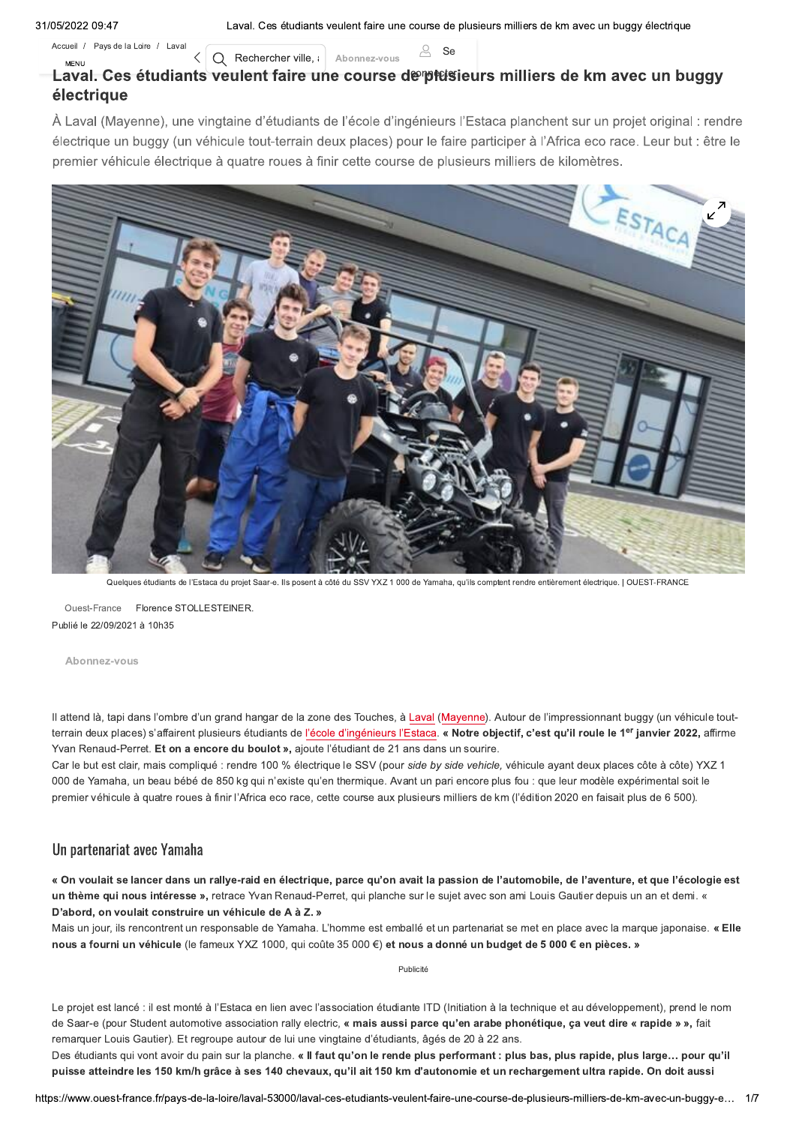Accueil / Pays de la Loire / Laval

 $\overline{Q}$  Rechercher ville, Abonnez-vous

 $\mathbb{R}$  Se

#### **MENU** Laval. Ces étudiants veulent faire une course de plesieurs milliers de km avec un buggy électrique

À Laval (Mayenne), une vingtaine d'étudiants de l'école d'ingénieurs l'Estaca planchent sur un projet original : rendre électrique un buggy (un véhicule tout-terrain deux places) pour le faire participer à l'Africa eco race. Leur but : être le premier véhicule électrique à quatre roues à finir cette course de plusieurs milliers de kilomètres.



Quelques étudiants de l'Estaca du projet Saar-e. Ils posent à côté du SSV YXZ 1 000 de Yamaha, qu'ils comptent rendre entièrement électrique. | OUEST-FRANCE

Ouest-France Florence STOLLESTEINER. Publié le 22/09/2021 à 10h35

Abonnez-vous

Il attend là, tapi dans l'ombre d'un grand hangar de la zone des Touches, à Laval (Mayenne). Autour de l'impressionnant buggy (un véhicule toutterrain deux places) s'affairent plusieurs étudiants de l'école d'ingénieurs l'Estaca. « Notre objectif, c'est qu'il roule le 1<sup>er</sup> janvier 2022, affirme Yvan Renaud-Perret. Et on a encore du boulot », ajoute l'étudiant de 21 ans dans un sourire.

Car le but est clair, mais compliqué : rendre 100 % électrique le SSV (pour side by side vehicle, véhicule ayant deux places côte à côte) YXZ 1 000 de Yamaha, un beau bébé de 850 kg qui n'existe qu'en thermique. Avant un pari encore plus fou : que leur modèle expérimental soit le premier véhicule à quatre roues à finir l'Africa eco race, cette course aux plusieurs milliers de km (l'édition 2020 en faisait plus de 6 500).

# Un partenariat avec Yamaha

« On voulait se lancer dans un rallye-raid en électrique, parce qu'on avait la passion de l'automobile, de l'aventure, et que l'écologie est un thème qui nous intéresse », retrace Yvan Renaud-Perret, qui planche sur le sujet avec son ami Louis Gautier depuis un an et demi. « D'abord, on voulait construire un véhicule de A à Z. »

Mais un jour, ils rencontrent un responsable de Yamaha. L'homme est emballé et un partenariat se met en place avec la marque japonaise. « Elle nous a fourni un véhicule (le fameux YXZ 1000, qui coûte 35 000 €) et nous a donné un budget de 5 000 € en pièces. »

Publicité

Le projet est lancé : il est monté à l'Estaca en lien avec l'association étudiante ITD (Initiation à la technique et au développement), prend le nom de Saar-e (pour Student automotive association rally electric, « mais aussi parce qu'en arabe phonétique, ça veut dire « rapide » », fait remarquer Louis Gautier). Et regroupe autour de lui une vingtaine d'étudiants, âgés de 20 à 22 ans.

Des étudiants qui vont avoir du pain sur la planche. « Il faut qu'on le rende plus performant : plus bas, plus rapide, plus large... pour qu'il puisse atteindre les 150 km/h grâce à ses 140 chevaux, qu'il ait 150 km d'autonomie et un rechargement ultra rapide. On doit aussi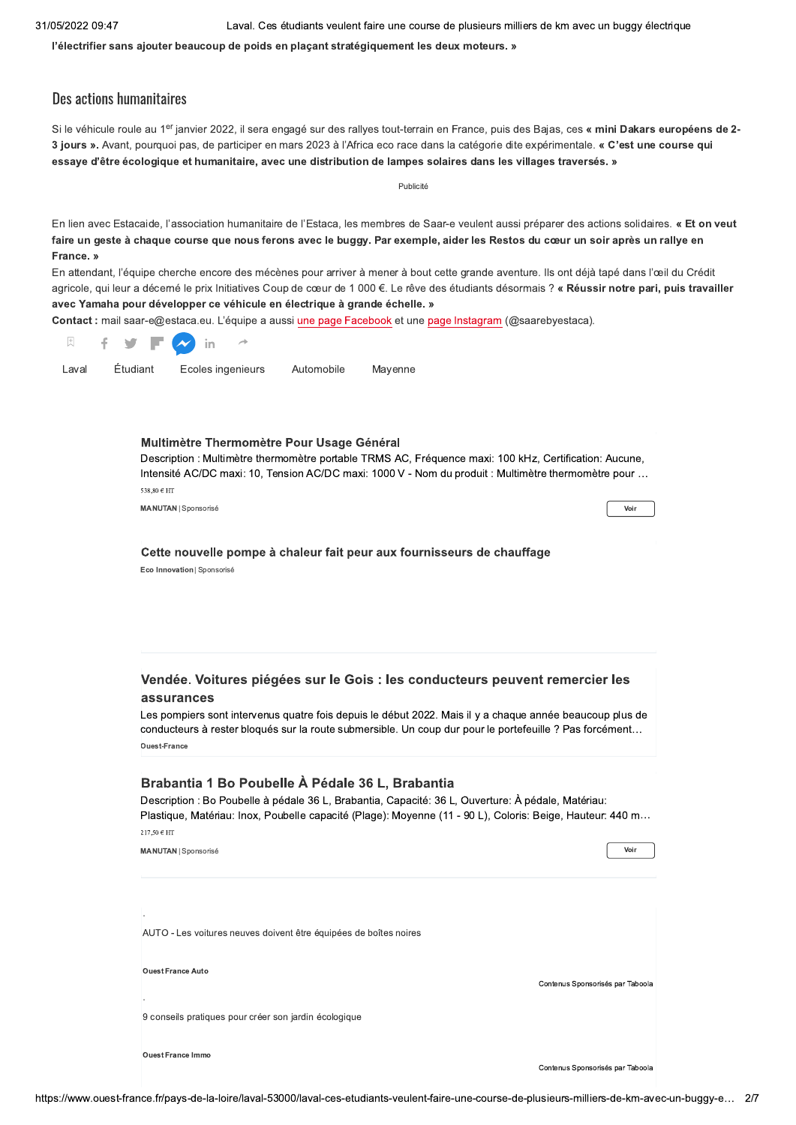l'électrifier sans ajouter beaucoup de poids en plaçant stratégiquement les deux moteurs. »

## Des actions humanitaires

Si le véhicule roule au 1<sup>er</sup> janvier 2022, il sera engagé sur des rallyes tout-terrain en France, puis des Bajas, ces « mini Dakars européens de 2-3 jours ». Avant, pourquoi pas, de participer en mars 2023 à l'Africa eco race dans la catégorie dite expérimentale. « C'est une course qui essaye d'être écologique et humanitaire, avec une distribution de lampes solaires dans les villages traversés. »

|           | Publicité |                                                                                                                                                                                                                                                                     |                                                                                                                                                                                                                                                                                                                                                                         |            |         |                                                                                                                                                                                                               |                                                                                                                                                                                                                                                                                                                                                                                                                                                                                                                                                                                        |  |
|-----------|-----------|---------------------------------------------------------------------------------------------------------------------------------------------------------------------------------------------------------------------------------------------------------------------|-------------------------------------------------------------------------------------------------------------------------------------------------------------------------------------------------------------------------------------------------------------------------------------------------------------------------------------------------------------------------|------------|---------|---------------------------------------------------------------------------------------------------------------------------------------------------------------------------------------------------------------|----------------------------------------------------------------------------------------------------------------------------------------------------------------------------------------------------------------------------------------------------------------------------------------------------------------------------------------------------------------------------------------------------------------------------------------------------------------------------------------------------------------------------------------------------------------------------------------|--|
| France. » |           |                                                                                                                                                                                                                                                                     | avec Yamaha pour développer ce véhicule en électrique à grande échelle. »                                                                                                                                                                                                                                                                                               |            |         |                                                                                                                                                                                                               | En lien avec Estacaide, l'association humanitaire de l'Estaca, les membres de Saar-e veulent aussi préparer des actions solidaires. « Et on veut<br>faire un geste à chaque course que nous ferons avec le buggy. Par exemple, aider les Restos du cœur un soir après un rallye en<br>En attendant, l'équipe cherche encore des mécènes pour arriver à mener à bout cette grande aventure. Ils ont déjà tapé dans l'œil du Crédit<br>agricole, qui leur a décerné le prix Initiatives Coup de cœur de 1 000 €. Le rêve des étudiants désormais ? « Réussir notre pari, puis travailler |  |
|           |           |                                                                                                                                                                                                                                                                     |                                                                                                                                                                                                                                                                                                                                                                         |            |         | Contact : mail saar-e@estaca.eu. L'équipe a aussi une page Facebook et une page Instagram (@saarebyestaca).                                                                                                   |                                                                                                                                                                                                                                                                                                                                                                                                                                                                                                                                                                                        |  |
| 閃         | f         |                                                                                                                                                                                                                                                                     | in                                                                                                                                                                                                                                                                                                                                                                      |            |         |                                                                                                                                                                                                               |                                                                                                                                                                                                                                                                                                                                                                                                                                                                                                                                                                                        |  |
| Laval     |           | Étudiant                                                                                                                                                                                                                                                            | Ecoles ingenieurs                                                                                                                                                                                                                                                                                                                                                       | Automobile | Mayenne |                                                                                                                                                                                                               |                                                                                                                                                                                                                                                                                                                                                                                                                                                                                                                                                                                        |  |
|           |           | 538,80 € HT                                                                                                                                                                                                                                                         | Multimètre Thermomètre Pour Usage Général<br><b>MANUTAN   Sponsorisé</b>                                                                                                                                                                                                                                                                                                |            |         | Description : Multimètre thermomètre portable TRMS AC, Fréquence maxi: 100 kHz, Certification: Aucune,<br>Intensité AC/DC maxi: 10, Tension AC/DC maxi: 1000 V - Nom du produit : Multimètre thermomètre pour | Voir                                                                                                                                                                                                                                                                                                                                                                                                                                                                                                                                                                                   |  |
|           |           |                                                                                                                                                                                                                                                                     |                                                                                                                                                                                                                                                                                                                                                                         |            |         |                                                                                                                                                                                                               |                                                                                                                                                                                                                                                                                                                                                                                                                                                                                                                                                                                        |  |
|           |           |                                                                                                                                                                                                                                                                     | Eco Innovation   Sponsorisé<br>Vendée. Voitures piégées sur le Gois : les conducteurs peuvent remercier les<br>assurances<br>Les pompiers sont intervenus quatre fois depuis le début 2022. Mais il y a chaque année beaucoup plus de<br>conducteurs à rester bloqués sur la route submersible. Un coup dur pour le portefeuille ? Pas forcément<br><b>Ouest-France</b> |            |         |                                                                                                                                                                                                               |                                                                                                                                                                                                                                                                                                                                                                                                                                                                                                                                                                                        |  |
|           |           | Brabantia 1 Bo Poubelle À Pédale 36 L, Brabantia<br>Description : Bo Poubelle à pédale 36 L, Brabantia, Capacité: 36 L, Ouverture: À pédale, Matériau:<br>Plastique, Matériau: Inox, Poubelle capacité (Plage): Moyenne (11 - 90 L), Coloris: Beige, Hauteur: 440 m |                                                                                                                                                                                                                                                                                                                                                                         |            |         |                                                                                                                                                                                                               |                                                                                                                                                                                                                                                                                                                                                                                                                                                                                                                                                                                        |  |
|           |           | 217,50 € HT                                                                                                                                                                                                                                                         | <b>MANUTAN   Sponsorisé</b>                                                                                                                                                                                                                                                                                                                                             |            |         |                                                                                                                                                                                                               | Voir                                                                                                                                                                                                                                                                                                                                                                                                                                                                                                                                                                                   |  |
|           |           |                                                                                                                                                                                                                                                                     | AUTO - Les voitures neuves doivent être équipées de boîtes noires                                                                                                                                                                                                                                                                                                       |            |         |                                                                                                                                                                                                               |                                                                                                                                                                                                                                                                                                                                                                                                                                                                                                                                                                                        |  |
|           |           |                                                                                                                                                                                                                                                                     | <b>Ouest France Auto</b>                                                                                                                                                                                                                                                                                                                                                |            |         |                                                                                                                                                                                                               | Contenus Sponsorisés par Taboola                                                                                                                                                                                                                                                                                                                                                                                                                                                                                                                                                       |  |
|           |           |                                                                                                                                                                                                                                                                     | 9 conseils pratiques pour créer son jardin écologique                                                                                                                                                                                                                                                                                                                   |            |         |                                                                                                                                                                                                               |                                                                                                                                                                                                                                                                                                                                                                                                                                                                                                                                                                                        |  |
|           |           |                                                                                                                                                                                                                                                                     | <b>Ouest France Immo</b>                                                                                                                                                                                                                                                                                                                                                |            |         |                                                                                                                                                                                                               | Contenus Sponsorisés par Taboola                                                                                                                                                                                                                                                                                                                                                                                                                                                                                                                                                       |  |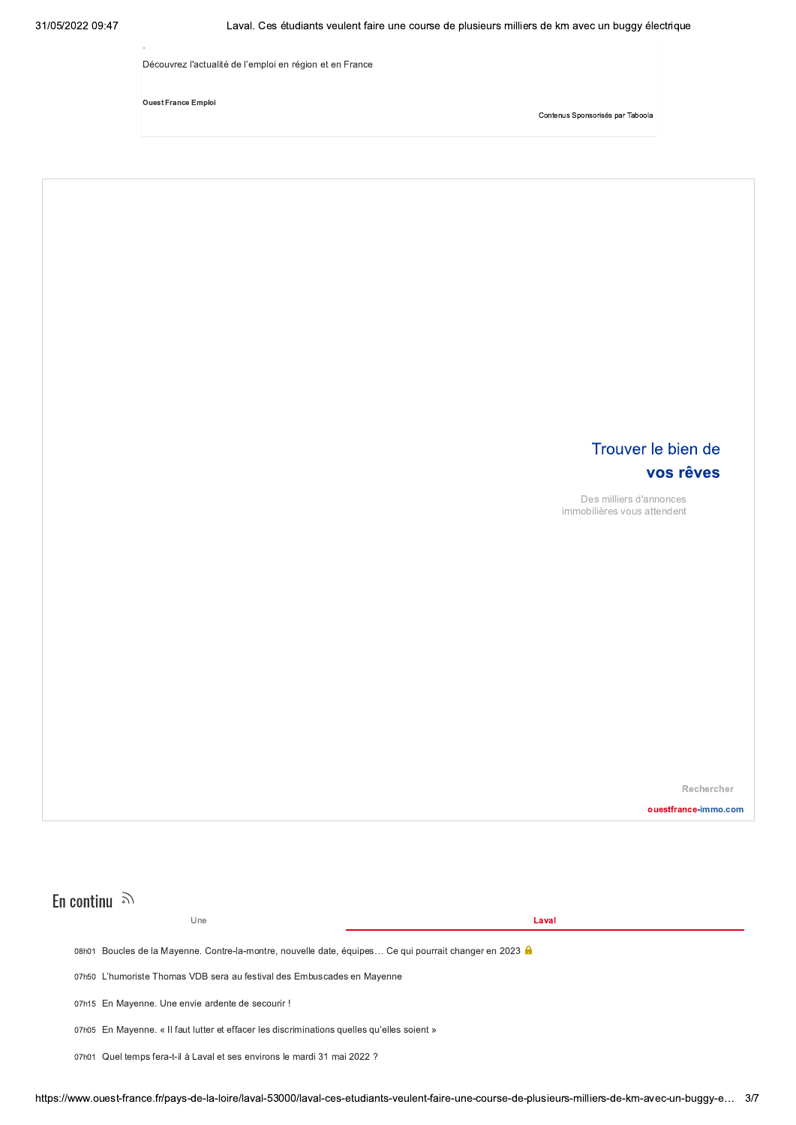Découvrez l'actualité de l'emploi en région et en France

**Ouest France Emploi** 

Contenus Sponsorisés par Taboola



# En continu  $\mathbb{R}$

Une

Laval

08h01 Boucles de la Mayenne. Contre-la-montre, nouvelle date, équipes... Ce qui pourrait changer en 2023 e

07h50 L'humoriste Thomas VDB sera au festival des Embuscades en Mayenne

07h15 En Mayenne. Une envie ardente de secourir !

07h05 En Mayenne. « Il faut lutter et effacer les discriminations quelles qu'elles soient »

07h01 Quel temps fera-t-il à Laval et ses environs le mardi 31 mai 2022 ?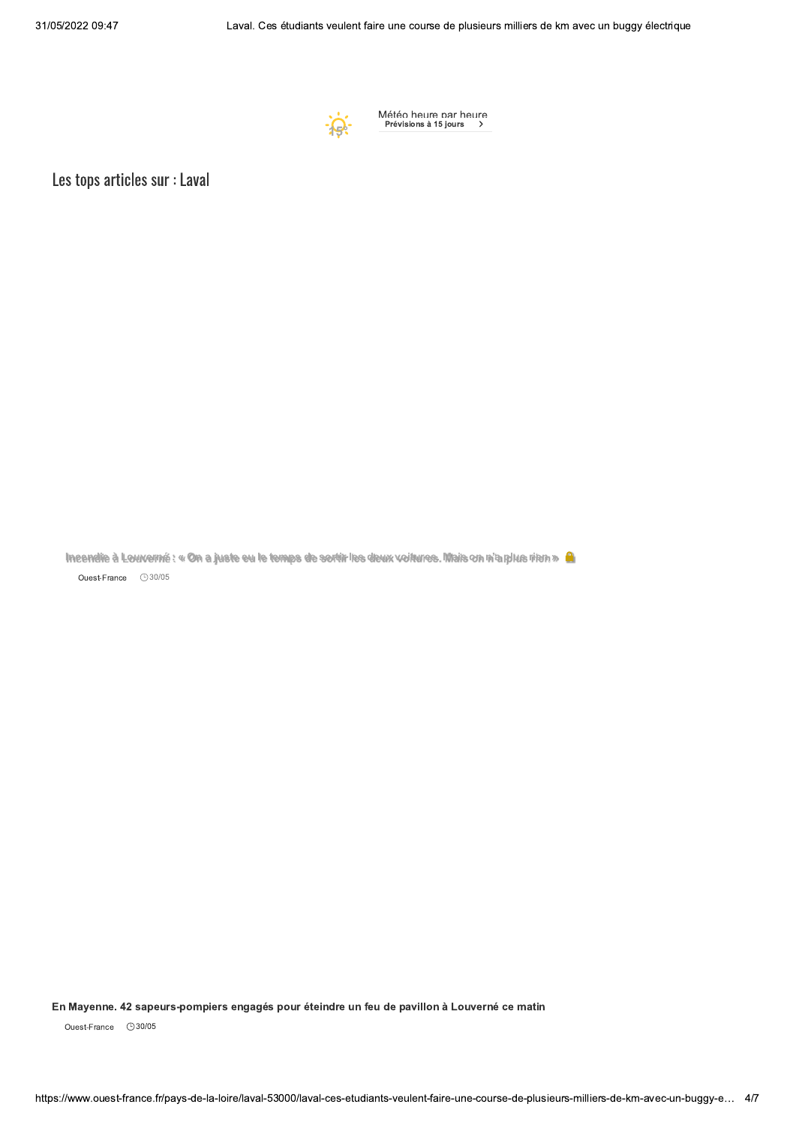

Météo heure par heure<br>Prévisions à 15 jours

Les tops articles sur : Laval

Incendie à Louverné : « On a juste eu le temps de sortir les deux voitures. Mais on n'a plus nien » A Ouest-France **930/05** 

En Mayenne. 42 sapeurs-pompiers engagés pour éteindre un feu de pavillon à Louverné ce matin

Ouest-France **30/05**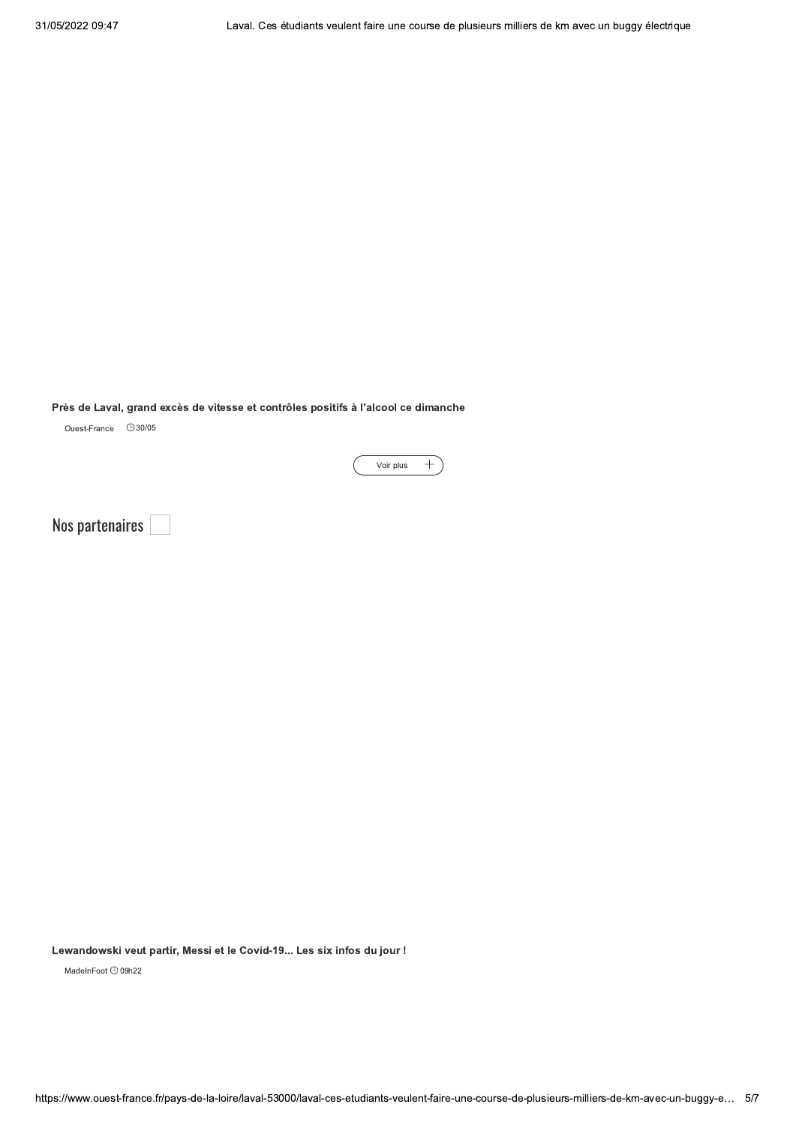## Près de Laval, grand excès de vitesse et contrôles positifs à l'alcool ce dimanche

Ouest-France **930/05** 

Voir plus  $+$ 

Nos partenaires

Lewandowski veut partir, Messi et le Covid-19... Les six infos du jour !

MadeInFoot <sup>1</sup>09h22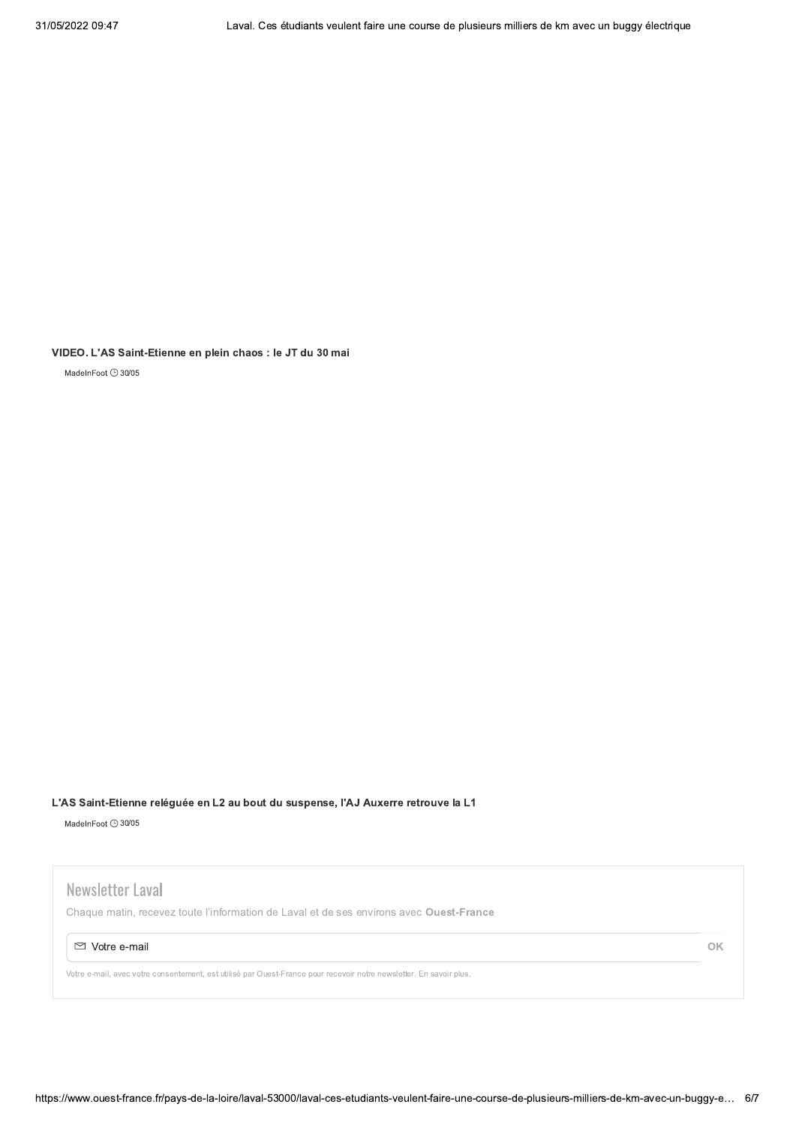VIDEO. L'AS Saint-Etienne en plein chaos : le JT du 30 mai

MadeInFoot 930/05

#### L'AS Saint-Etienne reléguée en L2 au bout du suspense, l'AJ Auxerre retrouve la L1

MadeInFoot 930/05

# Newsletter Laval

Chaque matin, recevez toute l'information de Laval et de ses environs avec Ouest-France

#### ⊠ Votre e-mail

Votre e-mail, avec votre consentement, est utilisé par Ouest-France pour recevoir notre newsletter. En savoir plus.

OK